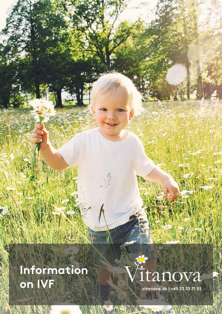# Information on IVF

# itanova

**THE HIS YIE.** 

vitanova.dk | +45 33 33 71 01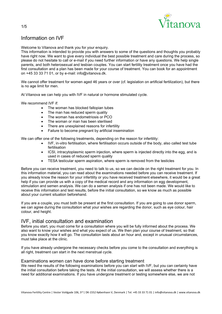

# Information on IVF

Welcome to Vitanova and thank you for your enquiry.

This information is intended to provide you with answers to some of the questions and thoughts you probably have right now. We want to give every individual the best possible treatment and care during the process, so please do not hesitate to call or e-mail if you need further information or have any questions. We help single parents, and both heterosexual and lesbian couples. You can start fertility treatment once you have had the first consultation and a plan has been made for your course of treatment. You can book for an appointment on +45 33 33 71 01, or by e-mail: info@vitanova.dk.

We cannot offer treatment for women aged 46 years or over (cf. legislation on artificial fertilization), but there is no age limit for men.

At Vitanova we can help you with IVF in natural or hormone stimulated cycle.

We recommend IVF if:

- The woman has blocked fallopian tubes
- The man has reduced sperm quality
- The woman has endometriosis or PCO
- The woman or man has been sterilised
- There are unexplained reasons for infertility
- Failure to become pregnant by artificial insemination

We can offer one of the following treatments, depending on the reason for infertility:

- IVF, in-vitro fertilisation, where fertilisation occurs outside of the body, also called test tube fertilisation
- ICSI, intracytoplasmic sperm injection, where sperm is injected directly into the egg, and is used in cases of reduced sperm quality
- TESA testicular sperm aspiration, where sperm is removed from the testicles

Before you can receive treatment, you need to talk to us, so we can decide on the right treatment for you. In this information material, you can read about the examinations needed before you can receive treatment. If you already know the reason for your infertility or you have received treatment elsewhere, it would be a great help if you can provide us with a copy of the medical record and any information on egg development, stimulation and semen analysis. We can do a semen analysis if one has not been made. We would like to receive this information and test results, before the initial consultation, so we know as much as possible about your current situation beforehand.

If you are a couple, you must both be present at the first consultation. If you are going to use donor sperm, we can agree during the consultation what your wishes are regarding the donor, such as eye colour, hair colour, and height.

## IVF, initial consultation and examination

Before you start, you must come for a consultation where you will be fully informed about the process. We also want to know your wishes and what you expect of us. We then plan your course of treatment, so that you know exactly how it will go. The consultation lasts about an hour and, except in unusual circumstances, must take place at the clinic.

If you have already undergone the necessary checks before you come to the consultation and everything is all right, treatment can start in the next menstrual cycle.

#### Examinations women can have done before starting treatment

We need the results of the following examinations before you can start with IVF, but you can certainly have the initial consultation before taking the tests. At the initial consultation, we will assess whether there is a need for additional examinations. If you have undergone treatment or testing somewhere else, we are not

1/5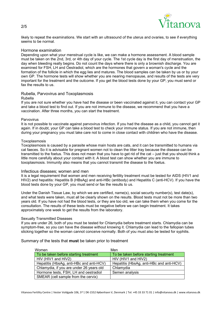



likely to repeat the examinations. We start with an ultrasound of the uterus and ovaries, to see if everything seems to be normal.

#### Hormone examination

Depending upon what your menstrual cycle is like, we can make a hormone assessment. A blood sample must be taken on the 2nd, 3rd, or 4th day of your cycle. The 1st cycle day is the first day of menstruation, the day when bleeding really begins. Do not count the days where there is only a brownish discharge. You are examined for FSH, LH and Oestradiol, which are the hormones that govern a woman's cycle and the formation of the follicle in which the egg lies and matures. The blood samples can be taken by us or by your own GP. The hormone tests will show whether you are nearing menopause, and results of the tests are very important for the treatment and the outcome. If you get the blood tests done by your GP, you must send or fax the results to us.

#### Rubella, Parvovirus and Toxoplasmosis

#### Rubella

If you are not sure whether you have had the disease or been vaccinated against it, you can contact your GP and take a blood test to find out. If you are not immune to the disease, we recommend that you have a vaccination. After three months, you can start the treatment.

#### Parvovirus

It is not possible to vaccinate against parvovirus infection. If you had the disease as a child, you cannot get it again. If in doubt, your GP can take a blood test to check your immune status. If you are not immune, then during your pregnancy you must take care not to come in close contact with children who have the disease.

#### Toxoplasmosis

Toxoplasmosis is caused by a parasite whose main hosts are cats, and it can be transmitted to humans via cat faeces. So it is advisable for pregnant women not to clean the litter tray because the disease can be transmitted to the foetus. This does not mean that you have to get rid of the cat – just that you should think a little more carefully about your contact with it. A blood test can show whether you are immune to toxoplasmosis. Immunity also means that you cannot transmit the disease to the foetus.

#### Infectious diseases; women and men

It is a legal requirement that women and men receiving fertility treatment must be tested for AIDS (HIV1 and HIV2) and hepatitis: Hepatitis B (HBsAg) and anti-HBc (antibody) and Hepatitis C (anti-HCV). If you have the blood tests done by your GP, you must send or fax the results to us.

Under the Danish Tissue Law, by which we are certified, name(s), social security number(s), test date(s), and what tests were taken, must all be clearly shown on the results. Blood tests must not be more than two years old. If you have not had the blood tests, or they are too old, we can take them when you come for the consultation. The results of these tests must be negative before we can begin treatment. It takes approximately one week to get the results from the laboratory.

#### Sexually Transmitted Diseases

If you are under 26, both of you must be tested for Chlamydia before treatment starts. Chlamydia can be symptom-free, so you can have the disease without knowing it. Chlamydia can lead to the fallopian tubes sticking together so the woman cannot conceive normally. Both of you must also be tested for syphilis.

Summary of the tests that must be taken prior to treatment

| Women                                    | Men                                      |
|------------------------------------------|------------------------------------------|
| To be taken before starting treatment    | To be taken before starting treatment    |
| HIV (HIV1 and HIV2)                      | $HIV$ (HIV1 and HIV2)                    |
| Hepatitis (HbsAg, anti-HBc and anti-HCV) | Hepatitis (HbsAg, anti-HBc and anti-HCV) |
| Chlamydia, if you are under 26 years old | Chlamydia                                |
| Hormone tests, FSH, LH and oestradiol    | Semen analysis                           |
| SMEAR (cell sample from the cervix)      |                                          |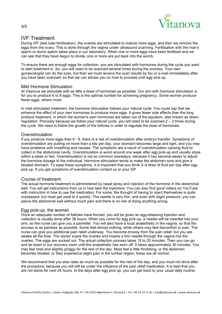

## IVF Treatment

During IVF (test tube fertilisation), the ovaries are stimulated to mature more eggs, and then we remove the eggs from the ovary. This is done through the vagina under ultrasound scanning. Fertilisation with the man's sperm or donor sperm takes place in our laboratory. When one or more eggs have been fertilised and we can see that they have begun to divide, one or more are put back into the womb.

To ensure there are enough eggs for collection, you are stimulated with hormones during the cycle you want to start treatment in. So, you will need to be scanned several times during the process. Your own gynaecologist can do the scan, but then we must receive the scan results by fax or e-mail immediately after you have been scanned, so that we can advise you on how to proceed until egg pick-up.

#### Mild Hormone Stimulation

At Vitanova we stimulate with as little a dose of hormones as possible. Our aim with hormone stimulation is for you to produce 6 to 8 eggs. This is the optimal number for achieving pregnancy. Some women produce fewer eggs, others more.

In mild stimulated treatment, the hormone stimulation follows your natural cycle. You could say that we enhance the effect of your own hormones to produce more eggs. It gives fewer side effects than the long protocol treatment, in which the woman's own hormones are taken out of the equation, also known as downregulation. Precisely because we follow your natural cycle, you will need to be scanned 2 – 3 times during the cycle. We need to follow the growth of the follicles in order to regulate the dose of hormones.

#### **Overstimulation**

If you produce more eggs than 6 - 8, there is a risk of overstimulation after embryo transfer. Symptoms of overstimulation are putting on more than a kilo per day, your stomach becomes large and tight, and you may have problems with breathing and nausea. The symptoms are a result of overstimulation causing fluid to collect in the abdominal cavity. Overstimulation is worst around one week after egg pick-up and usually stops within a week or two. Overstimulation is not so common nowadays, because it has become easier to adjust the hormone dosage to the individual. Hormone stimulation tends to make the abdomen sore and give a bloated stomach. To ease these symptoms, it is important that you drink 3–4 litres of fluid per day after egg pick-up. If you get symptoms of overstimulation contact us or your GP.

#### Course of treatment

The actual hormone treatment is administered by nasal spray and injection of the hormone in the abdominal wall. You will get instructions from us in how take the injections. You can also find good videos on YouTube with instruction in how to use the medication. For some, the thought of having to inject themselves is quite unpleasant, but most get used to it quickly. The needle is very thin, and even with slight pressure, you can pierce the abdominal wall without much pain and there is no risk of doing anything wrong.

#### Egg pick-up, the woman

Once an adequate number of follicles have formed, you will be given an egg-releasing injection and collection is usually done after 36 hours. When you come for egg pick-up, a needle will be inserted into your arm, so the nurse can give you a painkiller. You will also have a local anaesthetic in the vagina, so that the process is as painless as possible. Some feel almost nothing, while others may feel discomfort or pain. The nurse can give you additional pain relief underway. You become drowsy from the pain relief, but you are awake all the time. The doctor scans the ovaries and inserts a thin needle through the vagina into the ovaries. The eggs are sucked out. The actual collection process takes 15 to 20 minutes. Then you can go and lie down in our recovery room until the anaesthetic has worn off. It takes approximately 30 minutes. You may feel tired and slightly groggy for the rest of the day. Most feel a little throbbing, or the abdomen becomes bloated, or they experience slight pain in the lumbar region; these are all normal.

We recommend that you also relax as much as possible for the rest of the day, and you must not drive after the procedure, because you will still be under the influence of the pain relief medication. It is best that you are not alone for next 24 hours. In the days after egg pick-up, you can get back to your usual daily routine.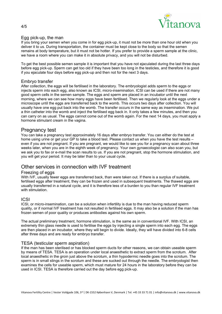

#### Egg pick-up, the man

If you bring your semen when you come in for egg pick-up, it must not be more than one hour old when you deliver it to us. During transportation, the container must be kept close to the body so that the semen remains at body temperature, but it must not be hotter. If you prefer to provide a sperm sample at the clinic, we have a room where you can make it in absolute privacy, and you will not be disturbed.

To get the best possible semen sample it is important that you have not ejaculated during the last three days before egg pick-up. Sperm can get too old if they have been too long in the testicles, and therefore it is good if you ejaculate four days before egg pick-up and then not for the next 3 days.

#### Embryo transfer

After collection, the eggs will be fertilised in the laboratory. The embryologist adds sperm to the eggs or injects sperm into each egg, also known as ICSI, micro-insemination. ICSI can be used if there are not many good sperm cells in the semen sample. The eggs and sperm are placed in an incubator until the next morning, where we can see how many eggs have been fertilised. Then we regularly look at the eggs under a microscope until the eggs are transferred back to the womb. This occurs two days after collection. You will usually have one egg put back into the womb. The transfer occurs in the same way as insemination. We put a thin catheter into the womb and inject the fertilised egg back in. It only takes a few minutes, and then you can carry on as usual. The eggs cannot come out of the womb again. For the next 14 days, you must apply a hormone stimulant cream in the vagina.

#### Pregnancy test

You can take a pregnancy test approximately 16 days after embryo transfer. You can either do the test at home using urine or get your GP to take a blood test. Please contact us when you have the test results – even if you are not pregnant. If you are pregnant, we would like to see you for a pregnancy scan about three weeks later, when you are in the eighth week of pregnancy. Your own gynaecologist can also scan you, but we ask you to fax or e-mail the scan results to us. If you are not pregnant, stop the hormone stimulation, and you will get your period. It may be later than to your usual cycle.

#### Other services in connection with IVF treatment

#### Freezing of eggs

With IVF, usually fewer eggs are transferred back, than were taken out. If there is a surplus of suitable, fertilised eggs after treatment, they can be frozen and used in subsequent treatments. The thawed eggs are usually transferred in a natural cycle, and it is therefore less of a burden to you than regular IVF treatment with stimulation.

#### ICSI

ICSI, or micro-insemination, can be a solution when infertility is due to the man having reduced sperm quality, or if normal IVF treatment has not resulted in fertilised eggs. It may also be a solution if the man has frozen semen of poor quality or produces antibodies against his own sperm.

The actual preliminary treatment, hormone stimulation, is the same as in conventional IVF. With ICSI, an extremely thin glass needle is used to fertilise the eggs by injecting a single sperm into each egg. The eggs are then placed in an incubator, where they will begin to divide. Ideally, they will have divided into 6-8 cells after three days and are ready for embryo transfer.

#### TESA (testicular sperm aspiration)

If the man has been sterilised or has blocked sperm ducts for other reasons, we can obtain useable sperm by means of TESA. TESA is an operation under local anaesthetic to extract sperm from the scrotum. After local anaesthetic in the groin just above the scrotum, a thin hypodermic needle goes into the scrotum. The sperm is in small stings in the scrotum and these are sucked out through the needle. The embryologist then examines the cells for useable sperm, which must mature for 24 hours in the laboratory before they can be used in ICSI. TESA is therefore carried out the day before egg pick-up.